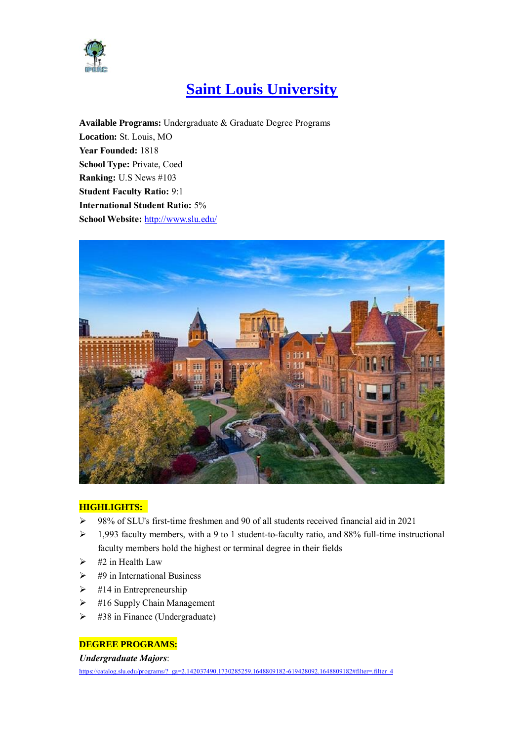

# **Saint Louis University**

**Available Programs:** Undergraduate & Graduate Degree Programs **Location:** St. Louis, MO **Year Founded:** 1818 **School Type:** Private, Coed **Ranking:** U.S News #103 **Student Faculty Ratio:** 9:1 **International Student Ratio:** 5% **School Website:** <http://www.slu.edu/>



#### **HIGHLIGHTS:**

- 98% of SLU's first-time freshmen and 90 of all students received financial aid in 2021
- $\geq 1,993$  faculty members, with a 9 to 1 student-to-faculty ratio, and 88% full-time instructional faculty members hold the highest or terminal degree in their fields
- $\triangleright$  #2 in Health Law
- $\geq$  #9 in International Business
- $\triangleright$  #14 in Entrepreneurship
- $\geq$  #16 Supply Chain Management
- $\triangleright$  #38 in Finance (Undergraduate)

#### **DEGREE PROGRAMS:**

#### *Undergraduate Majors*:

https://catalog.slu.edu/programs/?\_ga=2.142037490.1730285259.1648809182-619428092.1648809182#filter=.filter\_4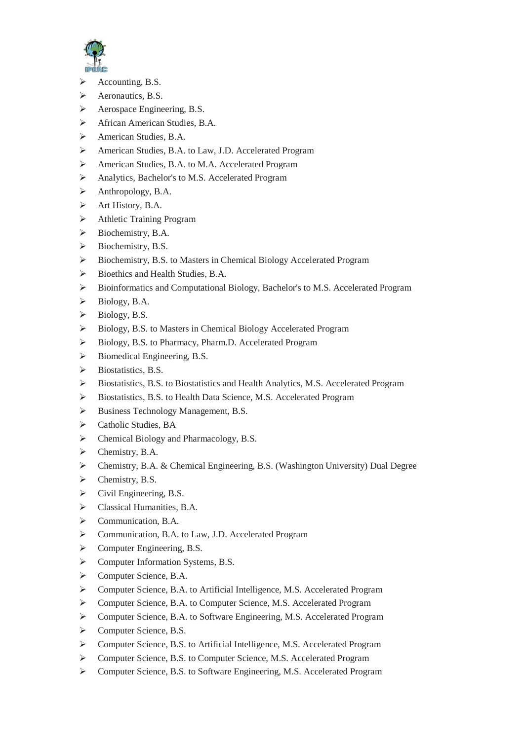

- $\triangleright$  Accounting, B.S.
- $\triangleright$  Aeronautics, B.S.
- Aerospace Engineering, B.S.
- African American Studies, B.A.
- American Studies, B.A.
- American Studies, B.A. to Law, J.D. Accelerated Program
- American Studies, B.A. to M.A. Accelerated Program
- Analytics, Bachelor's to M.S. Accelerated Program
- $\triangleright$  Anthropology, B.A.
- $\triangleright$  Art History, B.A.
- Athletic Training Program
- $\triangleright$  Biochemistry, B.A.
- $\triangleright$  Biochemistry, B.S.
- Biochemistry, B.S. to Masters in Chemical Biology Accelerated Program
- $\triangleright$  Bioethics and Health Studies, B.A.
- Bioinformatics and Computational Biology, Bachelor's to M.S. Accelerated Program
- $\triangleright$  Biology, B.A.
- $\triangleright$  Biology, B.S.
- Biology, B.S. to Masters in Chemical Biology Accelerated Program
- ▶ Biology, B.S. to Pharmacy, Pharm.D. Accelerated Program
- $\triangleright$  Biomedical Engineering, B.S.
- $\triangleright$  Biostatistics, B.S.
- Biostatistics, B.S. to Biostatistics and Health Analytics, M.S. Accelerated Program
- Biostatistics, B.S. to Health Data Science, M.S. Accelerated Program
- Business Technology Management, B.S.
- $\triangleright$  Catholic Studies, BA
- $\triangleright$  Chemical Biology and Pharmacology, B.S.
- $\triangleright$  Chemistry, B.A.
- Chemistry, B.A. & Chemical Engineering, B.S. (Washington University) Dual Degree
- $\triangleright$  Chemistry, B.S.
- $\triangleright$  Civil Engineering, B.S.
- $\triangleright$  Classical Humanities, B.A.
- Communication, B.A.
- Communication, B.A. to Law, J.D. Accelerated Program
- Computer Engineering, B.S.
- Computer Information Systems, B.S.
- Computer Science, B.A.
- Computer Science, B.A. to Artificial Intelligence, M.S. Accelerated Program
- Computer Science, B.A. to Computer Science, M.S. Accelerated Program
- Computer Science, B.A. to Software Engineering, M.S. Accelerated Program
- Computer Science, B.S.
- Computer Science, B.S. to Artificial Intelligence, M.S. Accelerated Program
- Computer Science, B.S. to Computer Science, M.S. Accelerated Program
- Computer Science, B.S. to Software Engineering, M.S. Accelerated Program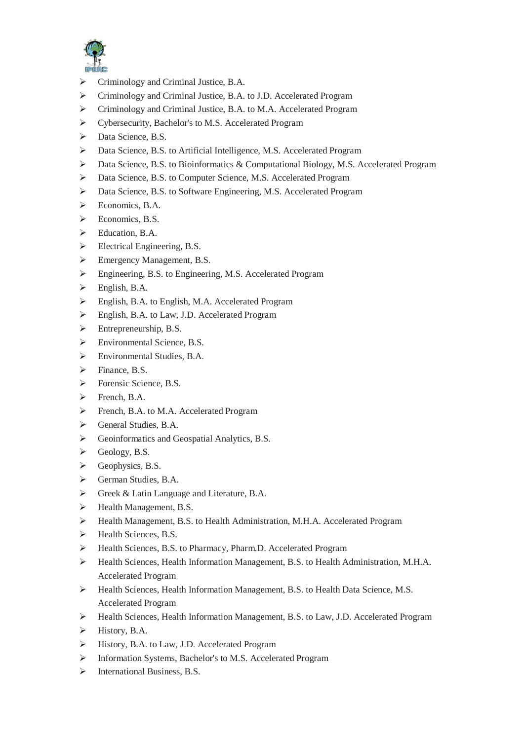

- Criminology and Criminal Justice, B.A.
- Criminology and Criminal Justice, B.A. to J.D. Accelerated Program
- Criminology and Criminal Justice, B.A. to M.A. Accelerated Program
- Cybersecurity, Bachelor's to M.S. Accelerated Program
- Data Science, B.S.
- Data Science, B.S. to Artificial Intelligence, M.S. Accelerated Program
- $\triangleright$  Data Science, B.S. to Bioinformatics & Computational Biology, M.S. Accelerated Program
- Data Science, B.S. to Computer Science, M.S. Accelerated Program
- Data Science, B.S. to Software Engineering, M.S. Accelerated Program
- $\triangleright$  Economics, B.A.
- $\triangleright$  Economics, B.S.
- Education, B.A.
- $\triangleright$  Electrical Engineering, B.S.
- Emergency Management, B.S.
- Engineering, B.S. to Engineering, M.S. Accelerated Program
- $\triangleright$  English, B.A.
- $\triangleright$  English, B.A. to English, M.A. Accelerated Program
- English, B.A. to Law, J.D. Accelerated Program
- $\triangleright$  Entrepreneurship, B.S.
- Environmental Science, B.S.
- Environmental Studies, B.A.
- $\triangleright$  Finance, B.S.
- > Forensic Science, B.S.
- $\triangleright$  French, B.A.
- French, B.A. to M.A. Accelerated Program
- General Studies, B.A.
- Seconformatics and Geospatial Analytics, B.S.
- $\triangleright$  Geology, B.S.
- $\triangleright$  Geophysics, B.S.
- German Studies, B.A.
- Greek & Latin Language and Literature, B.A.
- $\blacktriangleright$  Health Management, B.S.
- Health Management, B.S. to Health Administration, M.H.A. Accelerated Program
- Health Sciences, B.S.
- Health Sciences, B.S. to Pharmacy, Pharm.D. Accelerated Program
- Health Sciences, Health Information Management, B.S. to Health Administration, M.H.A. Accelerated Program
- Health Sciences, Health Information Management, B.S. to Health Data Science, M.S. Accelerated Program
- Health Sciences, Health Information Management, B.S. to Law, J.D. Accelerated Program
- $\triangleright$  History, B.A.
- $\triangleright$  History, B.A. to Law, J.D. Accelerated Program
- Information Systems, Bachelor's to M.S. Accelerated Program
- $\triangleright$  International Business, B.S.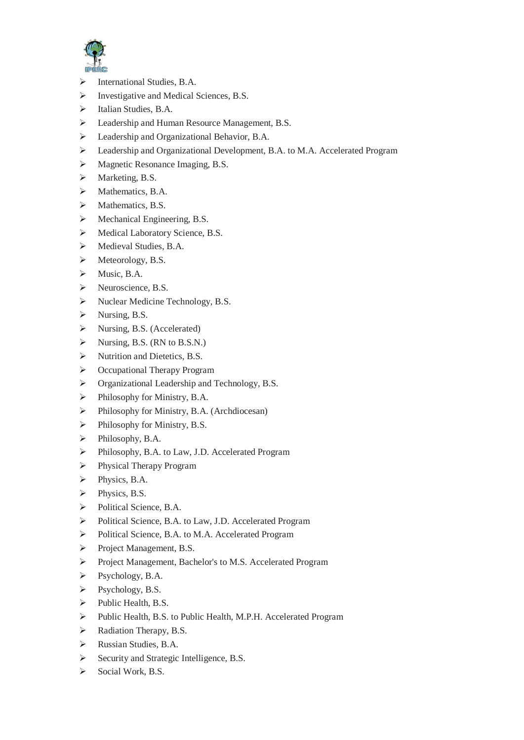

- $\triangleright$  International Studies, B.A.
- Investigative and Medical Sciences, B.S.
- > Italian Studies, B.A.
- Eeadership and Human Resource Management, B.S.
- Eeadership and Organizational Behavior, B.A.
- Leadership and Organizational Development, B.A. to M.A. Accelerated Program
- Magnetic Resonance Imaging, B.S.
- > Marketing, B.S.
- $\triangleright$  Mathematics, B.A.
- $\triangleright$  Mathematics, B.S.
- $\triangleright$  Mechanical Engineering, B.S.
- Medical Laboratory Science, B.S.
- Medieval Studies, B.A.
- Meteorology, B.S.
- $\triangleright$  Music, B.A.
- Neuroscience, B.S.
- > Nuclear Medicine Technology, B.S.
- $\triangleright$  Nursing, B.S.
- $\triangleright$  Nursing, B.S. (Accelerated)
- $\triangleright$  Nursing, B.S. (RN to B.S.N.)
- $\triangleright$  Nutrition and Dietetics, B.S.
- ▶ Occupational Therapy Program
- Organizational Leadership and Technology, B.S.
- $\triangleright$  Philosophy for Ministry, B.A.
- Philosophy for Ministry, B.A. (Archdiocesan)
- $\triangleright$  Philosophy for Ministry, B.S.
- > Philosophy, B.A.
- Philosophy, B.A. to Law, J.D. Accelerated Program
- **Physical Therapy Program**
- > Physics, B.A.
- $\triangleright$  Physics, B.S.
- $\triangleright$  Political Science, B.A.
- Political Science, B.A. to Law, J.D. Accelerated Program
- Political Science, B.A. to M.A. Accelerated Program
- Project Management, B.S.
- Project Management, Bachelor's to M.S. Accelerated Program
- $\triangleright$  Psychology, B.A.
- Psychology, B.S.
- $\triangleright$  Public Health, B.S.
- Public Health, B.S. to Public Health, M.P.H. Accelerated Program
- $\triangleright$  Radiation Therapy, B.S.
- Russian Studies, B.A.
- Security and Strategic Intelligence, B.S.
- $\triangleright$  Social Work, B.S.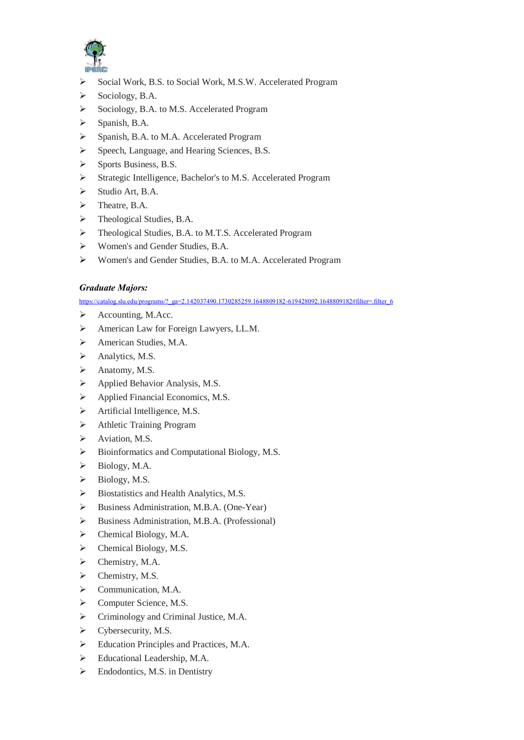

- Social Work, B.S. to Social Work, M.S.W. Accelerated Program
- $\triangleright$  Sociology, B.A.
- Sociology, B.A. to M.S. Accelerated Program
- $\triangleright$  Spanish, B.A.
- Spanish, B.A. to M.A. Accelerated Program
- Speech, Language, and Hearing Sciences, B.S.
- $\triangleright$  Sports Business, B.S.
- Strategic Intelligence, Bachelor's to M.S. Accelerated Program
- $\triangleright$  Studio Art, B.A.
- > Theatre, B.A.
- > Theological Studies, B.A.
- > Theological Studies, B.A. to M.T.S. Accelerated Program
- Women's and Gender Studies, B.A.
- Women's and Gender Studies, B.A. to M.A. Accelerated Program

#### *Graduate Majors:*

https://catalog.slu.edu/programs/?\_ga=2.142037490.1730285259.1648809182-619428092.1648809182#filter=.filter\_6

- $\triangleright$  Accounting, M.Acc.
- American Law for Foreign Lawyers, LL.M.
- > American Studies, M.A.
- $\triangleright$  Analytics, M.S.
- > Anatomy, M.S.
- $\triangleright$  Applied Behavior Analysis, M.S.
- $\triangleright$  Applied Financial Economics, M.S.
- > Artificial Intelligence, M.S.
- Athletic Training Program
- > Aviation, M.S.
- $\triangleright$  Bioinformatics and Computational Biology, M.S.
- $\triangleright$  Biology, M.A.
- $\triangleright$  Biology, M.S.
- Biostatistics and Health Analytics, M.S.
- Business Administration, M.B.A. (One-Year)
- Business Administration, M.B.A. (Professional)
- $\triangleright$  Chemical Biology, M.A.
- $\triangleright$  Chemical Biology, M.S.
- > Chemistry, M.A.
- $\triangleright$  Chemistry, M.S.
- $\triangleright$  Communication, M.A.
- Computer Science, M.S.
- Criminology and Criminal Justice, M.A.
- $\triangleright$  Cybersecurity, M.S.
- Education Principles and Practices, M.A.
- $\triangleright$  Educational Leadership, M.A.
- $\triangleright$  Endodontics, M.S. in Dentistry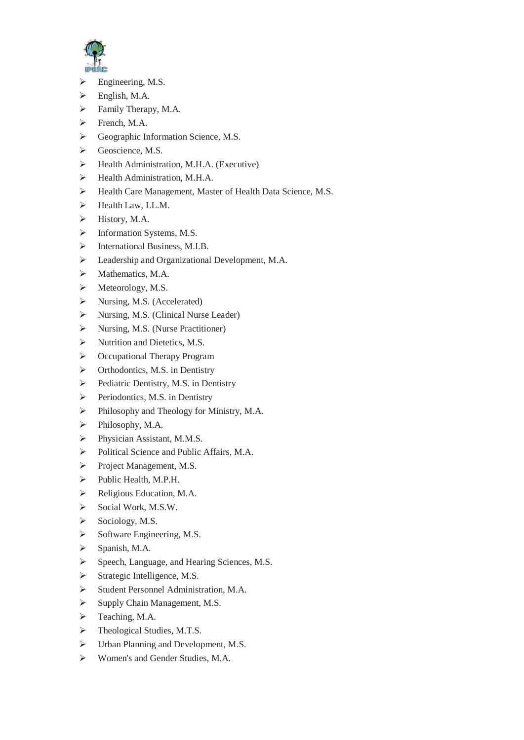

- $\triangleright$  Engineering, M.S.
- $\triangleright$  English, M.A.
- Family Therapy, M.A.
- $\triangleright$  French, M.A.
- Geographic Information Science, M.S.
- $\triangleright$  Geoscience, M.S.
- $\blacktriangleright$  Health Administration, M.H.A. (Executive)
- $\triangleright$  Health Administration, M.H.A.
- Health Care Management, Master of Health Data Science, M.S.
- $\blacktriangleright$  Health Law, LL.M.
- $\blacktriangleright$  History, M.A.
- $\triangleright$  Information Systems, M.S.
- > International Business, M.I.B.
- Leadership and Organizational Development, M.A.
- $\triangleright$  Mathematics, M.A.
- $\triangleright$  Meteorology, M.S.
- > Nursing, M.S. (Accelerated)
- > Nursing, M.S. (Clinical Nurse Leader)
- $\triangleright$  Nursing, M.S. (Nurse Practitioner)
- $\triangleright$  Nutrition and Dietetics, M.S.
- ▶ Occupational Therapy Program
- > Orthodontics, M.S. in Dentistry
- $\triangleright$  Pediatric Dentistry, M.S. in Dentistry
- $\triangleright$  Periodontics, M.S. in Dentistry
- Philosophy and Theology for Ministry, M.A.
- > Philosophy, M.A.
- Physician Assistant, M.M.S.
- Political Science and Public Affairs, M.A.
- Project Management, M.S.
- > Public Health, M.P.H.
- P Religious Education, M.A.
- $\triangleright$  Social Work, M.S.W.
- $\triangleright$  Sociology, M.S.
- $\triangleright$  Software Engineering, M.S.
- $\triangleright$  Spanish, M.A.
- Speech, Language, and Hearing Sciences, M.S.
- $\triangleright$  Strategic Intelligence, M.S.
- Student Personnel Administration, M.A.
- $\triangleright$  Supply Chain Management, M.S.
- Feaching, M.A.
- > Theological Studies, M.T.S.
- $\triangleright$  Urban Planning and Development, M.S.
- Women's and Gender Studies, M.A.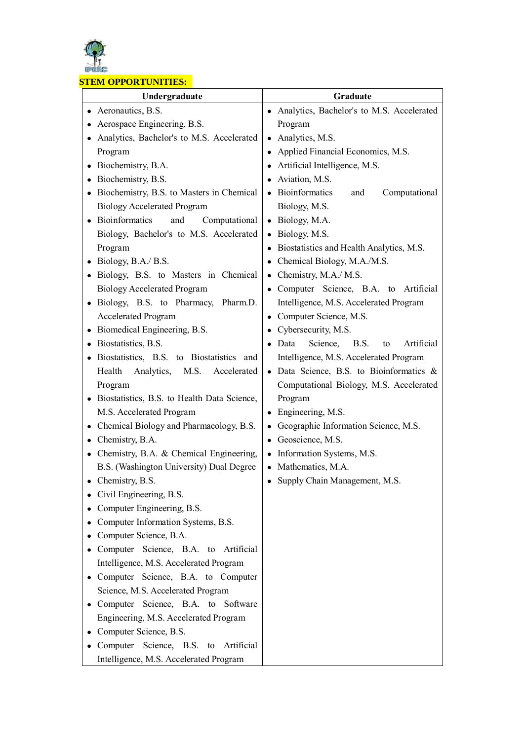

#### **STEM OPPORTUNITIES:**

| Undergraduate                                    | Graduate                                          |  |  |
|--------------------------------------------------|---------------------------------------------------|--|--|
| • Aeronautics, B.S.                              | • Analytics, Bachelor's to M.S. Accelerated       |  |  |
| Aerospace Engineering, B.S.                      | Program                                           |  |  |
| Analytics, Bachelor's to M.S. Accelerated        | • Analytics, M.S.                                 |  |  |
| Program                                          | Applied Financial Economics, M.S.                 |  |  |
| Biochemistry, B.A.<br>$\bullet$                  | Artificial Intelligence, M.S.                     |  |  |
| Biochemistry, B.S.                               | Aviation, M.S.<br>$\bullet$                       |  |  |
| Biochemistry, B.S. to Masters in Chemical        | • Bioinformatics<br>Computational<br>and          |  |  |
| <b>Biology Accelerated Program</b>               | Biology, M.S.                                     |  |  |
| Bioinformatics<br>and<br>Computational           | • Biology, M.A.                                   |  |  |
| Biology, Bachelor's to M.S. Accelerated          | · Biology, M.S.                                   |  |  |
| Program                                          | Biostatistics and Health Analytics, M.S.          |  |  |
| Biology, B.A./ B.S.                              | • Chemical Biology, M.A./M.S.                     |  |  |
| Biology, B.S. to Masters in Chemical             | Chemistry, M.A./ M.S.<br>$\bullet$                |  |  |
| <b>Biology Accelerated Program</b>               | Computer Science, B.A. to Artificial<br>$\bullet$ |  |  |
| Biology, B.S. to Pharmacy, Pharm.D.<br>$\bullet$ | Intelligence, M.S. Accelerated Program            |  |  |
| <b>Accelerated Program</b>                       | Computer Science, M.S.                            |  |  |
| Biomedical Engineering, B.S.                     | Cybersecurity, M.S.                               |  |  |
| Biostatistics, B.S.<br>$\bullet$                 | Science, B.S.<br>Artificial<br>Data<br>to         |  |  |
| Biostatistics, B.S. to Biostatistics and         | Intelligence, M.S. Accelerated Program            |  |  |
| Health<br>Analytics,<br>M.S.<br>Accelerated      | · Data Science, B.S. to Bioinformatics &          |  |  |
| Program                                          | Computational Biology, M.S. Accelerated           |  |  |
| Biostatistics, B.S. to Health Data Science,      | Program                                           |  |  |
| M.S. Accelerated Program                         | • Engineering, M.S.                               |  |  |
| Chemical Biology and Pharmacology, B.S.          | Geographic Information Science, M.S.              |  |  |
| Chemistry, B.A.<br>$\bullet$                     | Geoscience, M.S.<br>$\bullet$                     |  |  |
| • Chemistry, B.A. & Chemical Engineering,        | Information Systems, M.S.<br>$\bullet$            |  |  |
| B.S. (Washington University) Dual Degree         | Mathematics, M.A.                                 |  |  |
| Chemistry, B.S.                                  | Supply Chain Management, M.S.                     |  |  |
| Civil Engineering, B.S.                          |                                                   |  |  |
| Computer Engineering, B.S.<br>$\bullet$          |                                                   |  |  |
| Computer Information Systems, B.S.               |                                                   |  |  |
| Computer Science, B.A.                           |                                                   |  |  |
| Computer Science, B.A. to Artificial             |                                                   |  |  |
| Intelligence, M.S. Accelerated Program           |                                                   |  |  |
| Computer Science, B.A. to Computer               |                                                   |  |  |
| Science, M.S. Accelerated Program                |                                                   |  |  |
| Computer Science, B.A. to Software               |                                                   |  |  |
| Engineering, M.S. Accelerated Program            |                                                   |  |  |
| Computer Science, B.S.                           |                                                   |  |  |
| Computer Science, B.S. to Artificial             |                                                   |  |  |
| Intelligence, M.S. Accelerated Program           |                                                   |  |  |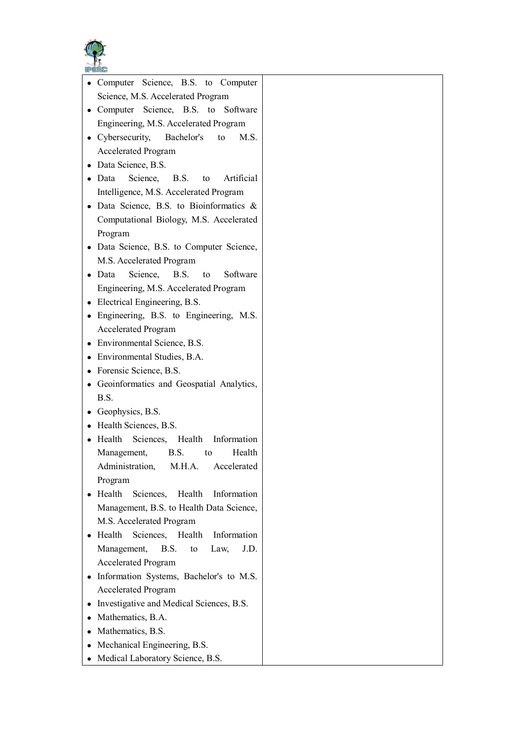

| UPERG                                                |  |
|------------------------------------------------------|--|
| Computer Science, B.S. to Computer<br>$\bullet$      |  |
| Science, M.S. Accelerated Program                    |  |
| Computer Science, B.S. to Software                   |  |
| Engineering, M.S. Accelerated Program                |  |
| • Cybersecurity, Bachelor's<br>to<br>M.S.            |  |
| <b>Accelerated Program</b>                           |  |
| • Data Science, B.S.                                 |  |
| $\bullet$ Data<br>Science, B.S. to Artificial        |  |
| Intelligence, M.S. Accelerated Program               |  |
| · Data Science, B.S. to Bioinformatics &             |  |
| Computational Biology, M.S. Accelerated              |  |
| Program                                              |  |
| • Data Science, B.S. to Computer Science,            |  |
| M.S. Accelerated Program                             |  |
| Science, B.S.<br>Software<br>$\bullet$ Data<br>to to |  |
| Engineering, M.S. Accelerated Program                |  |
| • Electrical Engineering, B.S.                       |  |
| • Engineering, B.S. to Engineering, M.S.             |  |
| <b>Accelerated Program</b>                           |  |
| • Environmental Science, B.S.                        |  |
| • Environmental Studies, B.A.                        |  |
| • Forensic Science, B.S.                             |  |
| Geoinformatics and Geospatial Analytics,             |  |
| B.S.                                                 |  |
| • Geophysics, B.S.                                   |  |
| • Health Sciences, B.S.                              |  |
| Health<br>Sciences, Health Information<br>$\bullet$  |  |
| Management, B.S.<br>Health<br>to                     |  |
| M.H.A.<br>Accelerated<br>Administration,             |  |
| Program                                              |  |
| Health<br>Health<br>Sciences,<br>Information         |  |
| Management, B.S. to Health Data Science,             |  |
| M.S. Accelerated Program                             |  |
| Health Sciences, Health<br>Information               |  |
| J.D.<br>Management,<br>B.S.<br>to<br>Law,            |  |
| <b>Accelerated Program</b>                           |  |
| Information Systems, Bachelor's to M.S.              |  |
| <b>Accelerated Program</b>                           |  |
| Investigative and Medical Sciences, B.S.             |  |
| Mathematics, B.A.                                    |  |
| Mathematics, B.S.                                    |  |
| Mechanical Engineering, B.S.                         |  |
| • Medical Laboratory Science, B.S.                   |  |
|                                                      |  |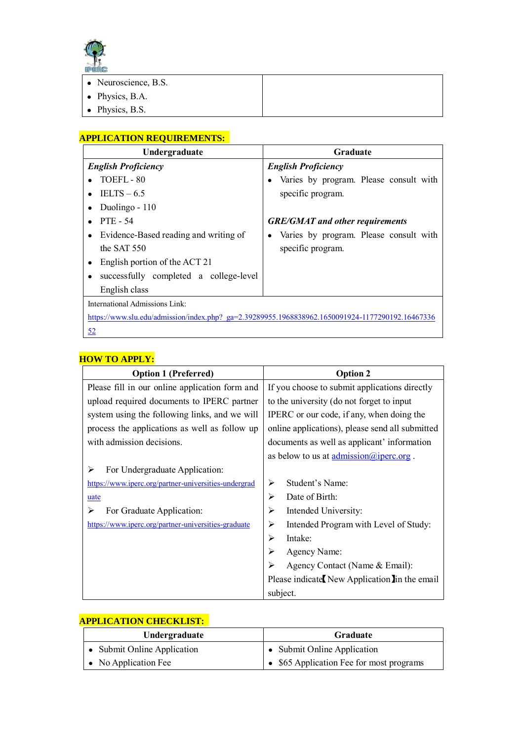

| and the company of the property |                      |  |
|---------------------------------|----------------------|--|
|                                 | • Neuroscience, B.S. |  |
|                                 | • Physics, B.A.      |  |
|                                 | • Physics, B.S.      |  |

# **APPLICATION REQUIREMENTS:**

| Undergraduate                                                                                    | Graduate                                 |  |
|--------------------------------------------------------------------------------------------------|------------------------------------------|--|
| <b>English Proficiency</b>                                                                       | <b>English Proficiency</b>               |  |
| TOEFL-80                                                                                         | • Varies by program. Please consult with |  |
| $TELTS - 6.5$                                                                                    | specific program.                        |  |
| Duolingo - 110                                                                                   |                                          |  |
| <b>PTE - 54</b>                                                                                  | <b>GRE/GMAT</b> and other requirements   |  |
| Evidence-Based reading and writing of                                                            | • Varies by program. Please consult with |  |
| the SAT 550                                                                                      | specific program.                        |  |
| English portion of the ACT 21                                                                    |                                          |  |
| successfully completed a college-level                                                           |                                          |  |
| English class                                                                                    |                                          |  |
| International Admissions Link:                                                                   |                                          |  |
| https://www.slu.edu/admission/index.php? ga=2.39289955.1968838962.1650091924-1177290192.16467336 |                                          |  |
| <u>52</u>                                                                                        |                                          |  |

### **HOW TO APPLY:**

| <b>Option 1 (Preferred)</b>                          | <b>Option 2</b>                                                       |  |
|------------------------------------------------------|-----------------------------------------------------------------------|--|
| Please fill in our online application form and       | If you choose to submit applications directly                         |  |
| upload required documents to IPERC partner           | to the university (do not forget to input                             |  |
| system using the following links, and we will        | IPERC or our code, if any, when doing the                             |  |
| process the applications as well as follow up        | online applications), please send all submitted                       |  |
| with admission decisions.                            | documents as well as applicant' information                           |  |
|                                                      | as below to us at $\underline{\text{admission}(a)}\text{iperc.org}$ . |  |
| For Undergraduate Application:<br>⋗                  |                                                                       |  |
| https://www.iperc.org/partner-universities-undergrad | Student's Name:<br>⋗                                                  |  |
| uate                                                 | Date of Birth:<br>⋗                                                   |  |
| For Graduate Application:<br>⋗                       | Intended University:<br>➢                                             |  |
| https://www.iperc.org/partner-universities-graduate  | Intended Program with Level of Study:<br>⋗                            |  |
|                                                      | Intake:<br>↘                                                          |  |
|                                                      | Agency Name:                                                          |  |
|                                                      | Agency Contact (Name & Email):                                        |  |
|                                                      | Please indicate New Application In the email                          |  |
|                                                      | subject.                                                              |  |

| Undergraduate                | Graduate                                 |
|------------------------------|------------------------------------------|
| • Submit Online Application  | • Submit Online Application              |
| $\bullet$ No Application Fee | • \$65 Application Fee for most programs |

# **APPLICATION CHECKLIST:**